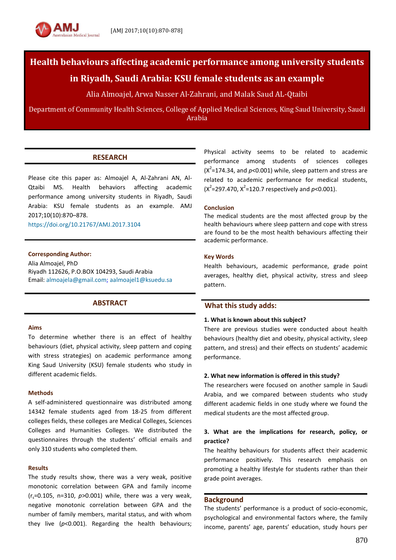

# **Health behaviours affecting academic performance among university students**

## **in Riyadh, Saudi Arabia: KSU female students as an example**

Alia Almoajel, Arwa Nasser Al-Zahrani, and Malak Saud AL-Qtaibi

Department of Community Health Sciences, College of Applied Medical Sciences, King Saud University, Saudi Arabia

## **RESEARCH**

Please cite this paper as: Almoajel A, Al-Zahrani AN, Al-Qtaibi MS. Health behaviors affecting academic performance among university students in Riyadh, Saudi Arabia: KSU female students as an example. AMJ 2017;10(10):870–878.

<https://doi.org/10.21767/AMJ.2017.3104>

#### **Corresponding Author:**

Alia Almoajel, PhD Riyadh 112626, P.O.BOX 104293, Saudi Arabia Email[: almoajela@gmail.com;](mailto:almoajela@gmail.com) [aalmoajel1@ksuedu.sa](mailto:aalmoajel1@ksuedu.sa)

## **ABSTRACT**

#### **Aims**

To determine whether there is an effect of healthy behaviours (diet, physical activity, sleep pattern and coping with stress strategies) on academic performance among King Saud University (KSU) female students who study in different academic fields.

#### **Methods**

A self-administered questionnaire was distributed among 14342 female students aged from 18-25 from different colleges fields, these colleges are Medical Colleges, Sciences Colleges and Humanities Colleges. We distributed the questionnaires through the students' official emails and only 310 students who completed them.

#### **Results**

The study results show, there was a very weak, positive monotonic correlation between GPA and family income  $(r_s=0.105, n=310, p>0.001)$  while, there was a very weak, negative monotonic correlation between GPA and the number of family members, marital status, and with whom they live (*p*<0.001). Regarding the health behaviours; Physical activity seems to be related to academic performance among students of sciences colleges  $(X^2=174.34$ , and  $p<0.001$ ) while, sleep pattern and stress are related to academic performance for medical students,  $(X^2=297.470, X^2=120.7$  respectively and  $p<0.001$ ).

#### **Conclusion**

The medical students are the most affected group by the health behaviours where sleep pattern and cope with stress are found to be the most health behaviours affecting their academic performance.

#### **Key Words**

Health behaviours, academic performance, grade point averages, healthy diet, physical activity, stress and sleep pattern.

## **What this study adds:**

#### **1. What is known about this subject?**

There are previous studies were conducted about health behaviours (healthy diet and obesity, physical activity, sleep pattern, and stress) and their effects on students' academic performance.

#### **2. What new information is offered in this study?**

The researchers were focused on another sample in Saudi Arabia, and we compared between students who study different academic fields in one study where we found the medical students are the most affected group.

## **3. What are the implications for research, policy, or practice?**

The healthy behaviours for students affect their academic performance positively. This research emphasis on promoting a healthy lifestyle for students rather than their grade point averages.

#### **Background**

The students' performance is a product of socio-economic, psychological and environmental factors where, the family income, parents' age, parents' education, study hours per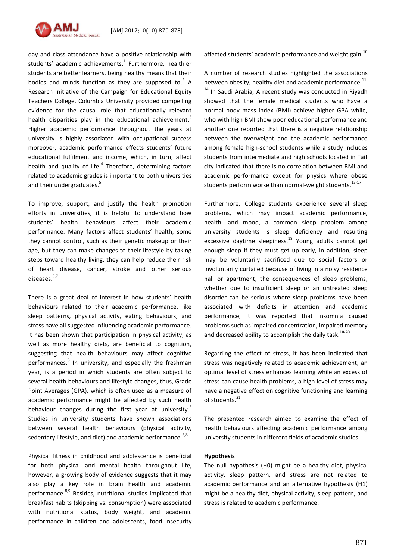

day and class attendance have a positive relationship with students' academic achievements.<sup>1</sup> Furthermore, healthier students are better learners, being healthy means that their bodies and minds function as they are supposed to. $2$  A Research Initiative of the Campaign for Educational Equity Teachers College, Columbia University provided compelling evidence for the causal role that educationally relevant health disparities play in the educational achievement.<sup>3</sup> Higher academic performance throughout the years at university is highly associated with occupational success moreover, academic performance effects students' future educational fulfilment and income, which, in turn, affect health and quality of life.<sup>4</sup> Therefore, determining factors related to academic grades is important to both universities and their undergraduates. 5

To improve, support, and justify the health promotion efforts in universities, it is helpful to understand how students' health behaviours affect their academic performance. Many factors affect students' health, some they cannot control, such as their genetic makeup or their age, but they can make changes to their lifestyle by taking steps toward healthy living, they can help reduce their risk of heart disease, cancer, stroke and other serious diseases. 6,7

There is a great deal of interest in how students' health behaviours related to their academic performance, like sleep patterns, physical activity, eating behaviours, and stress have all suggested influencing academic performance. It has been shown that participation in physical activity, as well as more healthy diets, are beneficial to cognition, suggesting that health behaviours may affect cognitive performances.<sup>5</sup> In university, and especially the freshman year, is a period in which students are often subject to several health behaviours and lifestyle changes, thus, Grade Point Averages (GPA), which is often used as a measure of academic performance might be affected by such health behaviour changes during the first year at university.<sup>5</sup> Studies in university students have shown associations between several health behaviours (physical activity, sedentary lifestyle, and diet) and academic performance.<sup>5,8</sup>

Physical fitness in childhood and adolescence is beneficial for both physical and mental health throughout life, however, a growing body of evidence suggests that it may also play a key role in brain health and academic performance.<sup>8,9</sup> Besides, nutritional studies implicated that breakfast habits (skipping vs. consumption) were associated with nutritional status, body weight, and academic performance in children and adolescents, food insecurity affected students' academic performance and weight gain. $^{10}$ 

A number of research studies highlighted the associations between obesity, healthy diet and academic performance.<sup>11-</sup>  $14$  In Saudi Arabia. A recent study was conducted in Rivadh showed that the female medical students who have a normal body mass index (BMI) achieve higher GPA while, who with high BMI show poor educational performance and another one reported that there is a negative relationship between the overweight and the academic performance among female high-school students while a study includes students from intermediate and high schools located in Taif city indicated that there is no correlation between BMI and academic performance except for physics where obese students perform worse than normal-weight students.<sup>15-17</sup>

Furthermore, College students experience several sleep problems, which may impact academic performance, health, and mood, a common sleep problem among university students is sleep deficiency and resulting excessive daytime sleepiness. $18$  Young adults cannot get enough sleep if they must get up early, in addition, sleep may be voluntarily sacrificed due to social factors or involuntarily curtailed because of living in a noisy residence hall or apartment, the consequences of sleep problems, whether due to insufficient sleep or an untreated sleep disorder can be serious where sleep problems have been associated with deficits in attention and academic performance, it was reported that insomnia caused problems such as impaired concentration, impaired memory and decreased ability to accomplish the daily task.<sup>18-20</sup>

Regarding the effect of stress, it has been indicated that stress was negatively related to academic achievement, an optimal level of stress enhances learning while an excess of stress can cause health problems, a high level of stress may have a negative effect on cognitive functioning and learning of students.<sup>21</sup>

The presented research aimed to examine the effect of health behaviours affecting academic performance among university students in different fields of academic studies.

#### **Hypothesis**

The null hypothesis (H0) might be a healthy diet, physical activity, sleep pattern, and stress are not related to academic performance and an alternative hypothesis (H1) might be a healthy diet, physical activity, sleep pattern, and stress is related to academic performance.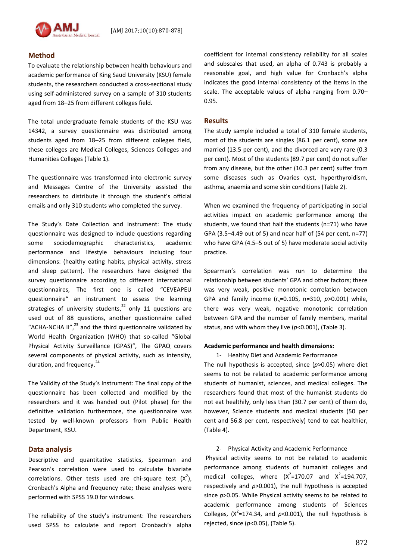### **Method**

To evaluate the relationship between health behaviours and academic performance of King Saud University (KSU) female students, the researchers conducted a cross-sectional study using self-administered survey on a sample of 310 students aged from 18–25 from different colleges field.

The total undergraduate female students of the KSU was 14342, a survey questionnaire was distributed among students aged from 18–25 from different colleges field, these colleges are Medical Colleges, Sciences Colleges and Humanities Colleges (Table 1).

The questionnaire was transformed into electronic survey and Messages Centre of the University assisted the researchers to distribute it through the student's official emails and only 310 students who completed the survey.

The Study's Date Collection and Instrument: The study questionnaire was designed to include questions regarding some sociodemographic characteristics, academic performance and lifestyle behaviours including four dimensions: (healthy eating habits, physical activity, stress and sleep pattern). The researchers have designed the survey questionnaire according to different international questionnaires, The first one is called "CEVEAPEU questionnaire" an instrument to assess the learning strategies of university students,<sup>22</sup> only 11 questions are used out of 88 questions, another questionnaire called "ACHA-NCHA II", $^{23}$  and the third questionnaire validated by World Health Organization (WHO) that so-called "Global Physical Activity Surveillance (GPAS)", The GPAQ covers several components of physical activity, such as intensity, duration, and frequency.<sup>24</sup>

The Validity of the Study's Instrument: The final copy of the questionnaire has been collected and modified by the researchers and it was handed out (Pilot phase) for the definitive validation furthermore, the questionnaire was tested by well-known professors from Public Health Department, KSU.

#### **Data analysis**

Descriptive and quantitative statistics, Spearman and Pearson's correlation were used to calculate bivariate correlations. Other tests used are chi-square test  $(X^2)$ , Cronbach's Alpha and frequency rate; these analyses were performed with SPSS 19.0 for windows.

The reliability of the study's instrument: The researchers used SPSS to calculate and report Cronbach's alpha

coefficient for internal consistency reliability for all scales and subscales that used, an alpha of 0.743 is probably a reasonable goal, and high value for Cronbach's alpha indicates the good internal consistency of the items in the scale. The acceptable values of alpha ranging from 0.70– 0.95.

#### **Results**

The study sample included a total of 310 female students, most of the students are singles (86.1 per cent), some are married (13.5 per cent), and the divorced are very rare (0.3 per cent). Most of the students (89.7 per cent) do not suffer from any disease, but the other (10.3 per cent) suffer from some diseases such as Ovaries cyst, hyperthyroidism, asthma, anaemia and some skin conditions (Table 2).

When we examined the frequency of participating in social activities impact on academic performance among the students, we found that half the students (n=71) who have GPA (3.5–4.49 out of 5) and near half of (54 per cent, n=77) who have GPA (4.5–5 out of 5) have moderate social activity practice.

Spearman's correlation was run to determine the relationship between students' GPA and other factors; there was very weak, positive monotonic correlation between GPA and family income (r<sub>s</sub>=0.105, n=310, p>0.001) while, there was very weak, negative monotonic correlation between GPA and the number of family members, marital status, and with whom they live (*p*<0.001), (Table 3).

#### **Academic performance and health dimensions:**

1- Healthy Diet and Academic Performance The null hypothesis is accepted, since (*p*>0.05) where diet seems to not be related to academic performance among students of humanist, sciences, and medical colleges. The researchers found that most of the humanist students do not eat healthily, only less than (30.7 per cent) of them do, however, Science students and medical students (50 per cent and 56.8 per cent, respectively) tend to eat healthier, (Table 4).

2- Physical Activity and Academic Performance

Physical activity seems to not be related to academic performance among students of humanist colleges and medical colleges, where  $(X^2=170.07$  and  $X^2=194.707$ , respectively and *p*>0.001), the null hypothesis is accepted since *p*>0.05. While Physical activity seems to be related to academic performance among students of Sciences Colleges,  $(X^2=174.34,$  and  $p<0.001$ ), the null hypothesis is rejected, since (*p*<0.05), (Table 5).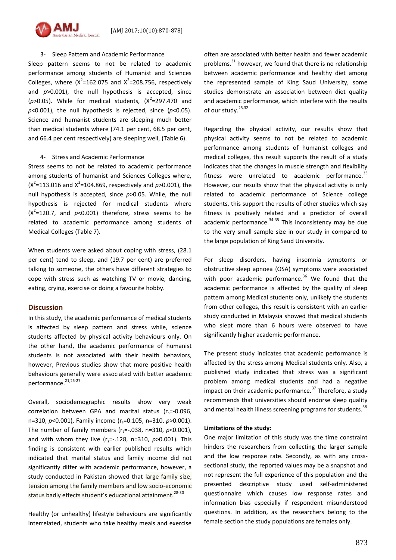

Sleep pattern seems to not be related to academic performance among students of Humanist and Sciences Colleges, where  $(X^2=162.075$  and  $X^2=208.756$ , respectively and *p*>0.001), the null hypothesis is accepted, since  $(p>0.05)$ . While for medical students,  $(X^2=297.470$  and *p*<0.001), the null hypothesis is rejected, since (*p*<0.05). Science and humanist students are sleeping much better than medical students where (74.1 per cent, 68.5 per cent, and 66.4 per cent respectively) are sleeping well, (Table 6).

#### 4- Stress and Academic Performance

Stress seems to not be related to academic performance among students of humanist and Sciences Colleges where,  $(X^2=113.016$  and  $X^2=104.869$ , respectively and  $p > 0.001$ ), the null hypothesis is accepted, since *p*>0.05. While, the null hypothesis is rejected for medical students where  $(X^2=120.7)$ , and  $p<0.001$ ) therefore, stress seems to be related to academic performance among students of Medical Colleges (Table 7).

When students were asked about coping with stress, (28.1 per cent) tend to sleep, and (19.7 per cent) are preferred talking to someone, the others have different strategies to cope with stress such as watching TV or movie, dancing, eating, crying, exercise or doing a favourite hobby.

#### **Discussion**

In this study, the academic performance of medical students is affected by sleep pattern and stress while, science students affected by physical activity behaviours only. On the other hand, the academic performance of humanist students is not associated with their health behaviors, however, Previous studies show that more positive health behaviours generally were associated with better academic performance. 21,25-27

Overall, sociodemographic results show very weak correlation between GPA and marital status ( $r_s$ =-0.096, n=310, *p*<0.001), Family income (r<sub>s</sub>=0.105, n=310, *p*>0.001). The number of family members  $(r_s=-0.038, n=310, p<0.001)$ , and with whom they live  $(r_s=-.128, n=310, p>0.001)$ . This finding is consistent with earlier published results which indicated that marital status and family income did not significantly differ with academic performance, however, a study conducted in Pakistan showed that large family size, tension among the family members and low socio-economic status badly effects student's educational attainment.  $28-30$ 

Healthy (or unhealthy) lifestyle behaviours are significantly interrelated, students who take healthy meals and exercise

often are associated with better health and fewer academic problems. $31$  however, we found that there is no relationship between academic performance and healthy diet among the represented sample of King Saud University, some studies demonstrate an association between diet quality and academic performance, which interfere with the results of our study.<sup>25,32</sup>

Regarding the physical activity, our results show that physical activity seems to not be related to academic performance among students of humanist colleges and medical colleges, this result supports the result of a study indicates that the changes in muscle strength and flexibility fitness were unrelated to academic performance. $33$ However, our results show that the physical activity is only related to academic performance of Science college students, this support the results of other studies which say fitness is positively related and a predictor of overall academic performance. $34-35$  This inconsistency may be due to the very small sample size in our study in compared to the large population of King Saud University.

For sleep disorders, having insomnia symptoms or obstructive sleep apnoea (OSA) symptoms were associated with poor academic performance.<sup>36</sup> We found that the academic performance is affected by the quality of sleep pattern among Medical students only, unlikely the students from other colleges, this result is consistent with an earlier study conducted in Malaysia showed that medical students who slept more than 6 hours were observed to have significantly higher academic performance.

The present study indicates that academic performance is affected by the stress among Medical students only. Also, a published study indicated that stress was a significant problem among medical students and had a negative impact on their academic performance.<sup>37</sup> Therefore, a study recommends that universities should endorse sleep quality and mental health illness screening programs for students.<sup>38</sup>

#### **Limitations of the study:**

One major limitation of this study was the time constraint hinders the researchers from collecting the larger sample and the low response rate. Secondly, as with any crosssectional study, the reported values may be a snapshot and not represent the full experience of this population and the presented descriptive study used self-administered questionnaire which causes low response rates and information bias especially if respondent misunderstood questions. In addition, as the researchers belong to the female section the study populations are females only.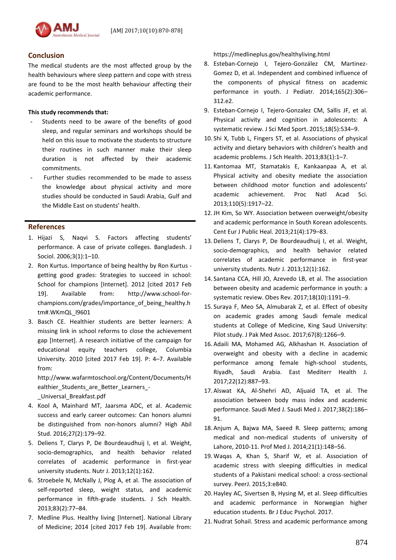

## **Conclusion**

The medical students are the most affected group by the health behaviours where sleep pattern and cope with stress are found to be the most health behaviour affecting their academic performance.

## **This study recommends that:**

- Students need to be aware of the benefits of good sleep, and regular seminars and workshops should be held on this issue to motivate the students to structure their routines in such manner make their sleep duration is not affected by their academic commitments.
- Further studies recommended to be made to assess the knowledge about physical activity and more studies should be conducted in Saudi Arabia, Gulf and the Middle East on students' health.

## **References**

- 1. Hijazi S, Naqvi S. Factors affecting students' performance. A case of private colleges. Bangladesh. J Sociol. 2006;3(1):1–10.
- 2. Ron Kurtus. Importance of being healthy by Ron Kurtus getting good grades: Strategies to succeed in school: School for champions [Internet]. 2012 [cited 2017 Feb 19]. Available from: [http://www.school-for](http://www.school-for-champions.com/grades/importance_of_being_healthy.htm#.WKmQL_l9601)[champions.com/grades/importance\\_of\\_being\\_healthy.h](http://www.school-for-champions.com/grades/importance_of_being_healthy.htm#.WKmQL_l9601) [tm#.WKmQL\\_l9601](http://www.school-for-champions.com/grades/importance_of_being_healthy.htm#.WKmQL_l9601)
- 3. Basch CE. Healthier students are better learners: A missing link in school reforms to close the achievement gap [Internet]. A research initiative of the campaign for educational equity teachers college, Columbia University. 2010 [cited 2017 Feb 19]. P: 4–7. Available from:

[http://www.wafarmtoschool.org/Content/Documents/H](http://www.wafarmtoschool.org/Content/Documents/Healthier_Students_are_Better_Learners_-_Universal_Breakfast.pdf) [ealthier\\_Students\\_are\\_Better\\_Learners\\_-](http://www.wafarmtoschool.org/Content/Documents/Healthier_Students_are_Better_Learners_-_Universal_Breakfast.pdf) [\\_Universal\\_Breakfast.pdf](http://www.wafarmtoschool.org/Content/Documents/Healthier_Students_are_Better_Learners_-_Universal_Breakfast.pdf)

- 4. Kool A, Mainhard MT, Jaarsma ADC, et al. Academic success and early career outcomes: Can honors alumni be distinguished from non-honors alumni? High Abil Stud. 2016;27(2):179–92.
- 5. Deliens T, Clarys P, De Bourdeaudhuij I, et al. Weight, socio-demographics, and health behavior related correlates of academic performance in first-year university students. Nutr J. 2013;12(1):162.
- 6. Stroebele N, McNally J, Plog A, et al. The association of self-reported sleep, weight status, and academic performance in fifth-grade students. J Sch Health. 2013;83(2):77–84.
- 7. Medline Plus. Healthy living [Internet]. National Library of Medicine; 2014 [cited 2017 Feb 19]. Available from:

https://medlineplus.gov/healthyliving.html

- 8. Esteban-Cornejo I, Tejero-González CM, Martinez-Gomez D, et al. Independent and combined influence of the components of physical fitness on academic performance in youth. J Pediatr. 2014;165(2):306– 312.e2.
- 9. Esteban-Cornejo I, Tejero-Gonzalez CM, Sallis JF, et al. Physical activity and cognition in adolescents: A systematic review. J Sci Med Sport. 2015;18(5):534–9.
- 10. Shi X, Tubb L, Fingers ST, et al. Associations of physical activity and dietary behaviors with children's health and academic problems. J Sch Health. 2013;83(1):1–7.
- 11. Kantomaa MT, Stamatakis E, Kankaanpaa A, et al. Physical activity and obesity mediate the association between childhood motor function and adolescents' academic achievement. Proc Natl Acad Sci. 2013;110(5):1917–22.
- 12.JH Kim, So WY. Association between overweight/obesity and academic performance in South Korean adolescents. Cent Eur J Public Heal. 2013;21(4):179–83.
- 13. Deliens T, Clarys P, De Bourdeaudhuij I, et al. Weight, socio-demographics, and health behavior related correlates of academic performance in first-year university students. Nutr J. 2013;12(1):162.
- 14. Santana CCA, Hill JO, Azevedo LB, et al. The association between obesity and academic performance in youth: a systematic review. Obes Rev. 2017;18(10):1191–9.
- 15. Suraya F, Meo SA, Almubarak Z, et al. Effect of obesity on academic grades among Saudi female medical students at College of Medicine, King Saud University: Pilot study. J Pak Med Assoc. 2017;67(8):1266–9.
- 16. Adaili MA, Mohamed AG, Alkhashan H. Association of overweight and obesity with a decline in academic performance among female high-school students, Riyadh, Saudi Arabia. East Mediterr Health J. 2017;22(12):887–93.
- 17. Alswat KA, Al-Shehri AD, Aljuaid TA, et al. The association between body mass index and academic performance. Saudi Med J. Saudi Med J. 2017;38(2):186– 91.
- 18. Anjum A, Bajwa MA, Saeed R. Sleep patterns; among medical and non-medical students of university of Lahore, 2010-11. Prof Med J. 2014;21(1):148–56.
- 19. Waqas A, Khan S, Sharif W, et al. Association of academic stress with sleeping difficulties in medical students of a Pakistani medical school: a cross-sectional survey. PeerJ. 2015;3:e840.
- 20. Hayley AC, Sivertsen B, Hysing M, et al. Sleep difficulties and academic performance in Norwegian higher education students. Br J Educ Psychol. 2017.
- 21.Nudrat Sohail. Stress and academic performance among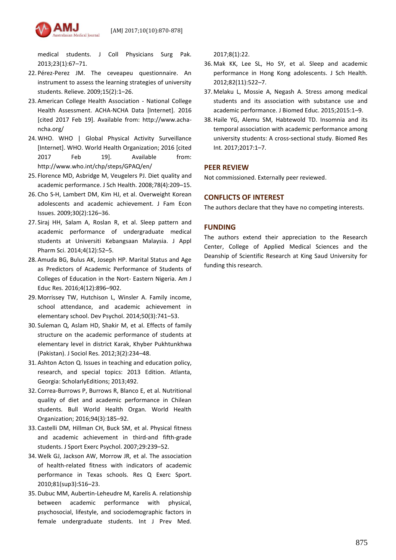

medical students. J Coll Physicians Surg Pak. 2013;23(1):67–71.

- 22. Pérez-Perez JM. The ceveapeu questionnaire. An instrument to assess the learning strategies of university students. Relieve. 2009;15(2):1–26.
- 23. American College Health Association National College Health Assessment. ACHA-NCHA Data [Internet]. 2016 [cited 2017 Feb 19]. Available from: http://www.achancha.org/
- 24. WHO. WHO | Global Physical Activity Surveillance [Internet]. WHO. World Health Organization; 2016 [cited 2017 Feb 19]. Available from: http://www.who.int/chp/steps/GPAQ/en/
- 25. Florence MD, Asbridge M, Veugelers PJ. Diet quality and academic performance. J Sch Health. 2008;78(4):209–15.
- 26. Cho S-H, Lambert DM, Kim HJ, et al. Overweight Korean adolescents and academic achievement. J Fam Econ Issues. 2009;30(2):126–36.
- 27. Siraj HH, Salam A, Roslan R, et al. Sleep pattern and academic performance of undergraduate medical students at Universiti Kebangsaan Malaysia. J Appl Pharm Sci. 2014;4(12):52–5.
- 28. Amuda BG, Bulus AK, Joseph HP. Marital Status and Age as Predictors of Academic Performance of Students of Colleges of Education in the Nort- Eastern Nigeria. Am J Educ Res. 2016;4(12):896–902.
- 29. Morrissey TW, Hutchison L, Winsler A. Family income, school attendance, and academic achievement in elementary school. Dev Psychol. 2014;50(3):741–53.
- 30. Suleman Q, Aslam HD, Shakir M, et al. Effects of family structure on the academic performance of students at elementary level in district Karak, Khyber Pukhtunkhwa (Pakistan). J Sociol Res. 2012;3(2):234–48.
- 31. Ashton Acton Q. Issues in teaching and education policy, research, and special topics: 2013 Edition. Atlanta, Georgia: ScholarlyEditions; 2013;492.
- 32. Correa-Burrows P, Burrows R, Blanco E, et al. Nutritional quality of diet and academic performance in Chilean students. Bull World Health Organ. World Health Organization; 2016;94(3):185–92.
- 33. Castelli DM, Hillman CH, Buck SM, et al. Physical fitness and academic achievement in third-and fifth-grade students. J Sport Exerc Psychol. 2007;29:239–52.
- 34. Welk GJ, Jackson AW, Morrow JR, et al. The association of health-related fitness with indicators of academic performance in Texas schools. Res Q Exerc Sport. 2010;81(sup3):S16–23.
- 35. Dubuc MM, Aubertin-Leheudre M, Karelis A. relationship between academic performance with physical, psychosocial, lifestyle, and sociodemographic factors in female undergraduate students. Int J Prev Med.

2017;8(1):22.

- 36. Mak KK, Lee SL, Ho SY, et al. Sleep and academic performance in Hong Kong adolescents. J Sch Health. 2012;82(11):522–7.
- 37. Melaku L, Mossie A, Negash A. Stress among medical students and its association with substance use and academic performance. J Biomed Educ. 2015;2015:1–9.
- 38. Haile YG, Alemu SM, Habtewold TD. Insomnia and its temporal association with academic performance among university students: A cross-sectional study. Biomed Res Int. 2017;2017:1–7.

## **PEER REVIEW**

Not commissioned. Externally peer reviewed.

## **CONFLICTS OF INTEREST**

The authors declare that they have no competing interests.

## **FUNDING**

The authors extend their appreciation to the Research Center, College of Applied Medical Sciences and the Deanship of Scientific Research at King Saud University for funding this research.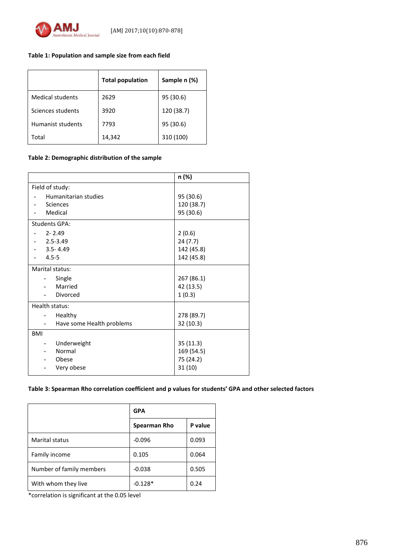

## **Table 1: Population and sample size from each field**

|                         | <b>Total population</b> | Sample n (%) |
|-------------------------|-------------------------|--------------|
| <b>Medical students</b> | 2629                    | 95 (30.6)    |
| Sciences students       | 3920                    | 120 (38.7)   |
| Humanist students       | 7793                    | 95 (30.6)    |
| Total                   | 14,342                  | 310 (100)    |

**Table 2: Demographic distribution of the sample**

|                                         | n (%)      |
|-----------------------------------------|------------|
| Field of study:                         |            |
| Humanitarian studies                    | 95 (30.6)  |
| Sciences<br>$\overline{\phantom{a}}$    | 120 (38.7) |
| Medical                                 | 95 (30.6)  |
| <b>Students GPA:</b>                    |            |
| $2 - 2.49$                              | 2(0.6)     |
| $2.5 - 3.49$                            | 24(7.7)    |
| $3.5 - 4.49$                            | 142 (45.8) |
| $4.5 - 5$                               | 142 (45.8) |
| Marital status:                         |            |
| Single                                  | 267 (86.1) |
| Married<br>$\overline{a}$               | 42 (13.5)  |
| Divorced                                | 1(0.3)     |
| Health status:                          |            |
| Healthy                                 | 278 (89.7) |
| Have some Health problems               | 32 (10.3)  |
| <b>BMI</b>                              |            |
| Underweight<br>$\overline{\phantom{a}}$ | 35(11.3)   |
| Normal                                  | 169 (54.5) |
| Obese                                   | 75 (24.2)  |
| Very obese                              | 31(10)     |

### **Table 3: Spearman Rho correlation coefficient and p values for students' GPA and other selected factors**

|                          | <b>GPA</b>   |         |  |  |
|--------------------------|--------------|---------|--|--|
|                          | Spearman Rho | P value |  |  |
| <b>Marital status</b>    | $-0.096$     | 0.093   |  |  |
| Family income            | 0.105        | 0.064   |  |  |
| Number of family members | $-0.038$     | 0.505   |  |  |
| With whom they live      | $-0.128*$    | 0.24    |  |  |

\*correlation is significant at the 0.05 level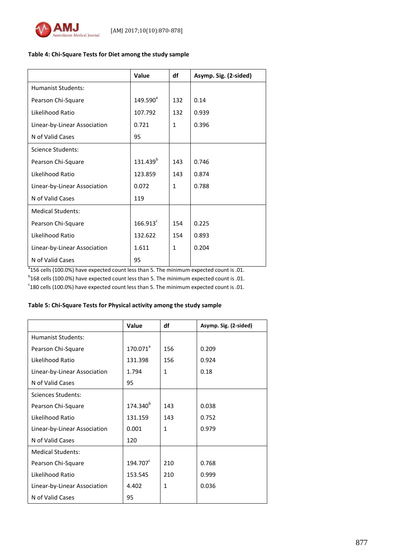

#### **Table 4: Chi-Square Tests for Diet among the study sample**

|                              | Value                | df           | Asymp. Sig. (2-sided) |
|------------------------------|----------------------|--------------|-----------------------|
| Humanist Students:           |                      |              |                       |
| Pearson Chi-Square           | $149.590^a$          | 132          | 0.14                  |
| Likelihood Ratio             | 107.792              | 132          | 0.939                 |
| Linear-by-Linear Association | 0.721                | $\mathbf{1}$ | 0.396                 |
| N of Valid Cases             | 95                   |              |                       |
| Science Students:            |                      |              |                       |
| Pearson Chi-Square           | 131.439 <sup>b</sup> | 143          | 0.746                 |
| Likelihood Ratio             | 123.859              | 143          | 0.874                 |
| Linear-by-Linear Association | 0.072                | $\mathbf{1}$ | 0.788                 |
| N of Valid Cases             | 119                  |              |                       |
| <b>Medical Students:</b>     |                      |              |                       |
| Pearson Chi-Square           | $166.913^c$          | 154          | 0.225                 |
| Likelihood Ratio             | 132.622              | 154          | 0.893                 |
| Linear-by-Linear Association | 1.611                | $\mathbf{1}$ | 0.204                 |
| N of Valid Cases             | 95                   |              |                       |

 $^{\text{a}}$ 156 cells (100.0%) have expected count less than 5. The minimum expected count is .01.

 $^{\text{b}}$ 168 cells (100.0%) have expected count less than 5. The minimum expected count is .01.

 $c$ <sup>c</sup>180 cells (100.0%) have expected count less than 5. The minimum expected count is .01.

## **Table 5: Chi-Square Tests for Physical activity among the study sample**

|                              | <b>Value</b>         | df           | Asymp. Sig. (2-sided) |
|------------------------------|----------------------|--------------|-----------------------|
| <b>Humanist Students:</b>    |                      |              |                       |
| Pearson Chi-Square           | $170.071^a$          | 156          | 0.209                 |
| Likelihood Ratio             | 131.398              | 156          | 0.924                 |
| Linear-by-Linear Association | 1.794                | $\mathbf{1}$ | 0.18                  |
| N of Valid Cases             | 95                   |              |                       |
| <b>Sciences Students:</b>    |                      |              |                       |
| Pearson Chi-Square           | 174.340 <sup>b</sup> | 143          | 0.038                 |
| Likelihood Ratio             | 131.159              | 143          | 0.752                 |
| Linear-by-Linear Association | 0.001                | 1            | 0.979                 |
| N of Valid Cases             | 120                  |              |                       |
| <b>Medical Students:</b>     |                      |              |                       |
| Pearson Chi-Square           | 194.707 <sup>c</sup> | 210          | 0.768                 |
| Likelihood Ratio             | 153.545              | 210          | 0.999                 |
| Linear-by-Linear Association | 4.402                | $\mathbf{1}$ | 0.036                 |
| N of Valid Cases             | 95                   |              |                       |